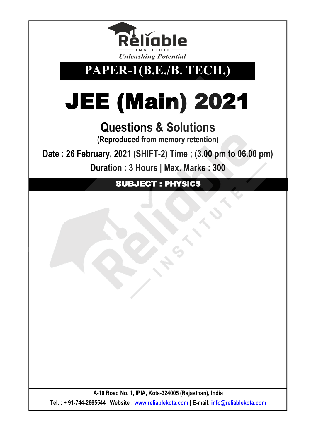

## **PAPER-1(B.E./B. TECH.)**

# JEE (Main) 2021

## **Questions & Solutions**

**(Reproduced from memory retention)**

**Date : 26 February, 2021 (SHIFT-2) Time ; (3.00 pm to 06.00 pm)**

**Duration : 3 Hours | Max. Marks : 300** 

SUBJECT : PHYSICS

**A-10 Road No. 1, IPIA, Kota-324005 (Rajasthan), India Tel. : + 91-744-2665544 | Website : [www.reliablekota.com](http://www.reliablekota.com/) | E-mail: [info@reliablekota.com](mailto:info@reliablekota.com)**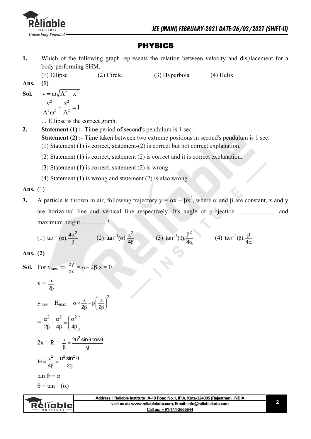

#### PHYSICS

**1.** Which of the following graph represents the relation between velocity and displacement for a body performing SHM.

(1) Ellipse (2) Circle (3) Hyperbola (4) Helix

**Ans. (1) Sol.**  $v = \omega \sqrt{A^2 - x^2}$ 2  $\mathbf{v}^2$  $\frac{v^2}{r^2} + \frac{x^2}{\Delta^2} = 1$  $A^2\omega^2$   $A$  $+\frac{\Delta}{\sqrt{2}}=1$  $\omega$ 

 $\therefore$  Ellipse is the correct graph.

- **2.** Statement (1) :- Time period of second's pendulum is 1 sec. **Statement (2) :-** Time taken between two extreme positions in second's pendulum is 1 sec.
	- (1) Statement (1) is correct, statement-(2) is correct but not correct explanation.
	- (2) Statement (1) is correct, statement (2) is correct and it is correct explanation.
	- (3) Statement (1) is correct, statement (2) is wrong.
	- (4) Statement (1) is wrong and statement (2) is also wrong.

#### **Ans.** (1)

**3.** A particle is thrown in air, following trajectory  $y = \alpha x - \beta x^2$ , where  $\alpha$  and  $\beta$  are constant, x and y are horizontal line and vertical line respectively. It's angle of projection ........................ and maximum height ................?

(1) 
$$
\tan^{-1}(\alpha)
$$
,  $\frac{4\alpha^2}{\beta}$  (2)  $\tan^{-1}(\alpha)$ ,  $\frac{\alpha^2}{4\beta}$  (3)  $\tan^{-1}(\beta)$ ,  $\frac{\beta^2}{4\alpha}$  (4)  $\tan^{-1}(\beta)$ ,  $\frac{\beta}{4\alpha}$ 

#### **Ans. (2)**

**Sol.** For 
$$
y_{\text{max}} \Rightarrow \frac{dy}{dx} = \alpha - 2\beta x = 0
$$
  
\n $x = \frac{\alpha}{2\beta}$   
\n $y_{\text{max}} = H_{\text{max}} = \alpha \times \frac{\alpha}{2\beta} - \beta \left(\frac{\alpha}{2\beta}\right)^2$   
\n $= \frac{\alpha^2}{2\beta} - \frac{\alpha^2}{4\beta} = \left(\frac{\alpha^2}{4\beta}\right)$   
\n $2x = R = \frac{\alpha}{\beta} = \frac{2u^2 \sin \theta \cos \theta}{g}$   
\n $H = \frac{\alpha^2}{4\beta} = \frac{u^2 \sin^2 \theta}{2g}$   
\n $\tan \theta = \alpha$   
\n $\theta = \tan^{-1}(\alpha)$ 

|                   | Address: 'Reliable Institute', A-10 Road No.1, IPIA, Kota-324005 (Raiasthan), INDIA |  |
|-------------------|-------------------------------------------------------------------------------------|--|
| Relighiel         | visit us at: www.reliablekota.com, Email: info@reliablekota.com                     |  |
| $-$ INSTITUTE $-$ | Call us: +91-744-2665544                                                            |  |
|                   |                                                                                     |  |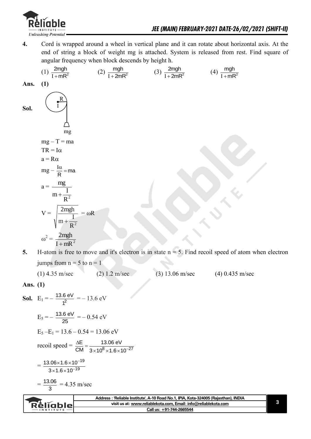

**4.** Cord is wrapped around a wheel in vertical plane and it can rotate about horizontal axis. At the end of string a block of weight mg is attached. System is released from rest. Find square of angular frequency when block descends by height h.

(1) 
$$
\frac{2mgh}{1+mR^2}
$$
 (2)  $\frac{mgh}{1+2mR^2}$  (3)  $\frac{2mgh}{1+2mR^2}$  (4)  $\frac{mgh}{1+mR^2}$   
\n**Sol.**  $\left(\prod_{\substack{n=1 \text{odd } n \text{ odd}}}^{R}$   
\n $\frac{mgh}{1+mR^2}$  (5)  $\frac{2mgh}{1+2mR^2}$  (6)  $\frac{1}{1+mR^2}$   
\n**Sol.**  $\left(\prod_{\substack{n=1 \text{odd } n \text{ odd}}}^{R}$   
\n $mgh$   
\n $mgh$   
\n $mgh$   
\n $mgh$   
\n $mgh$   
\n $mgh$   
\n $mgh$   
\n $mgh$   
\n $mgh$   
\n $mgh$   
\n $mgh$   
\n $mgh$   
\n $mgh$   
\n $mgh$   
\n $mgh$   
\n $mgh$   
\n $mgh$   
\n $mgh$   
\n $mgh$   
\n $mgh$   
\n $mgh$   
\n $mgh$   
\n $mgh$   
\n $mgh$   
\n $mgh$   
\n $mgh$   
\n $m^2$   
\n $m^2$   
\n $m^2$   
\n $m^2$   
\n $m^2$   
\n $m^2$   
\n $m^2$   
\n $m^2$   
\n $m^2$   
\n $m^2$   
\n $m^2$   
\n $m^2$   
\n $m^2$   
\n $m^2$   
\n $m^2$   
\n $m^2$   
\n $m^2$   
\n $m^2$   
\n $m^2$   
\n $m^2$   
\n $m^2$   
\n $m^2$   
\n $m^2$   
\n $m^2$   
\n $m^2$   
\n $m^2$   
\

**5. H**-atom is free to move and it's electron is in state  $n = 5$ . Find recoil speed of atom when electron jumps from  $n = 5$  to  $n = 1$ 

(1) 4.35 m/sec (2) 1.2 m/sec (3) 13.06 m/sec (4) 0.435 m/sec

**Ans. (1)**

**Sol.** 
$$
E_1 = -\frac{13.6 \text{ eV}}{1^2} = -13.6 \text{ eV}
$$
  
\n $E_5 = -\frac{13.6 \text{ eV}}{25} = -0.54 \text{ eV}$   
\n $E_5 - E_1 = 13.6 - 0.54 = 13.06 \text{ eV}$   
\nrecoil speed  $= \frac{\Delta E}{CM} = \frac{13.06 \text{ eV}}{3 \times 10^8 \times 1.6 \times 10^{-27}}$   
\n $= \frac{13.06 \times 1.6 \times 10^{-19}}{3 \times 1.6 \times 10^{-19}}$   
\n $= \frac{13.06}{3} = 4.35 \text{ m/sec}$ 

|                   | ˈReliable Institute'. A-10 Road No.1. IPIA. Kota-324005 (Raiasthan). INDIA |  |
|-------------------|----------------------------------------------------------------------------|--|
| : Reliablet       | visit us at: www.reliablekota.com, Email: info@reliablekota.com            |  |
| $-$ INSTITUTE $-$ | Call us: +91-744-2665544                                                   |  |
|                   |                                                                            |  |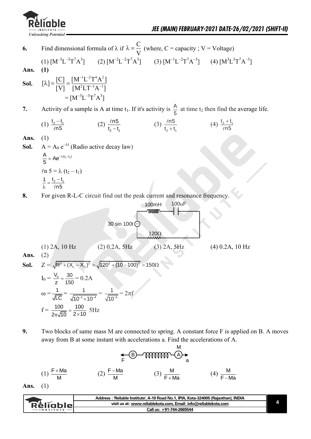

- **6.** Find dimensional formula of  $\lambda$  if  $\lambda = \frac{C}{\lambda}$ V  $\lambda = \frac{C}{N}$  (where, C = capacity ; V = Voltage)
- $(1)$   $[M^{-3}L^{-3}T^{7}A^{3}]$ ] (2)  $[M^{-2}L^{-2}T^{7}A^{3}]$  (3)  $[M^{-1}L^{-2}T^{7}A^{-3}]$  (4)  $[M^{3}L^{3}T^{7}A^{-3}]$ **Ans. (1)**
- **Sol.**  $1$ <sub>I</sub>  $-2$   $T^4$   $\Lambda^2$  $[\lambda] = \frac{[C]}{[V]} = \frac{[M^{-1}L^{-2}T^{4}A^{2}]}{[M^{2}T]T^{-3}A^{-1}]}$  $\frac{[U]}{[V]} = \frac{[V^2 + 2^2 + 1^2]}{[M^2LT^{-3}A^{-1}]}$  $-1$ T $-2$  $\lambda = \frac{[C]}{[N]} = \frac{[M^{-1}L^{-2}T^{4}A^{2}]}{[M^{2}T]T^{-3}A^{-1}}$  $= [M^{-3}L^{-3}T^{7}A^{3}]$
- **7.** Activity of a sample is A at time  $t_1$ . If it's activity is  $\frac{A}{b}$  $\frac{\pi}{5}$  at time t<sub>2</sub> then find the average life.

(1) 
$$
\frac{t_2 - t_1}{\ell n 5}
$$
 (2)  $\frac{\ell n 5}{t_2 - t_1}$  (3)  $\frac{\ell n 5}{t_2 + t_1}$  (4)  $\frac{t_2 + t_1}{\ell n 5}$ 

- **Ans.** (1)
- **Sol.**  $A = A_0 e^{-\lambda t}$  (Radio active decay law)

$$
\frac{A}{5} = Ae^{-\lambda(t_2 - t_1)}
$$
  
\n
$$
\ell n 5 = \lambda (t_2 - t_1)
$$
  
\n
$$
\frac{1}{\lambda} = \frac{t_2 - t_1}{\ell n 5}
$$

**8.** For given R-L-C circuit find out the peak current and resonance frequency.

~ 100mH 100F 120 30 sin 100t (1) 2A, 10 Hz (2) 0.2A, 5Hz (3) 2A, 5Hz (4) 0.2A, 10 Hz **Ans.** (2) **Sol.** Z = 2 2 2 2 R (X X ) 120 (10 100) 150 L C I<sup>0</sup> = V<sup>0</sup> 30 z 150 = 0.2A = 1 LC = 1 4 1 10 10 = 5 1 10 = 2f f = 100 100 2 10 2 10 5Hz

**9.** Two blocks of same mass M are connected to spring. A constant force F is applied on B. A moves away from B at some instant with accelerations a. Find the accelerations of A.

$$
\underset{F}{\leftarrow} \text{B}\text{-}\text{mmm}\overset{M}{\oplus} \underset{a}{\rightarrow}
$$

(1) 
$$
\frac{F+Ma}{M}
$$
 (2)  $\frac{F-Ma}{M}$  (3)  $\frac{M}{F+Ma}$  (4)  $\frac{M}{F-Ma}$ 

**Ans.** (1)

|           | Address: 'Reliable Institute', A-10 Road No.1, IPIA, Kota-324005 (Rajasthan), INDIA |  |
|-----------|-------------------------------------------------------------------------------------|--|
| Rèligblel | visit us at: www.reliablekota.com, Email: info@reliablekota.com                     |  |
|           | Call us: +91-744-2665544                                                            |  |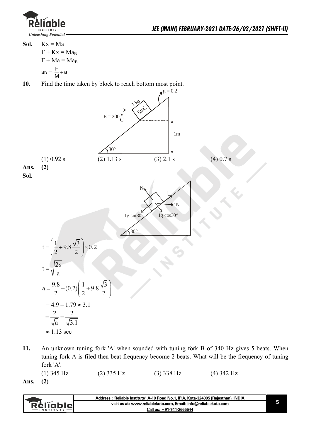

Sol.  $Kx = Ma$  $F + Kx = Ma_B$  $F + Ma = Ma_B$  $a_B = \frac{F}{M} + a$ 

**10.** Find the time taken by block to reach bottom most point.



- **11.** An unknown tuning fork 'A' when sounded with tuning fork B of 340 Hz gives 5 beats. When tuning fork A is filed then beat frequency become 2 beats. What will be the frequency of tuning fork 'A'. (1) 345 Hz (2) 335 Hz (3) 338 Hz (4) 342 Hz
- **Ans. (2)**

|               | Address: 'Reliable Institute', A-10 Road No.1, IPIA, Kota-324005 (Rajasthan), INDIA |  |
|---------------|-------------------------------------------------------------------------------------|--|
| Rèlĭablel     | visit us at: www.reliablekota.com, Email: info@reliablekota.com                     |  |
| $-$ INSTITUTE | Call us: +91-744-2665544                                                            |  |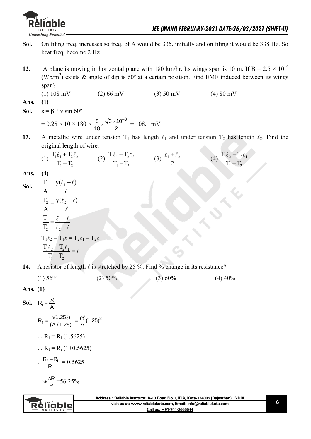

- **Sol.** On filing freq. increases so freq. of A would be 335. initially and on filing it would be 338 Hz. So beat freq. become 2 Hz.
- **12.** A plane is moving in horizontal plane with 180 km/hr. Its wings span is 10 m. If  $B = 2.5 \times 10^{-4}$ (Wb/m<sup>2</sup>) exists & angle of dip is 60° at a certain position. Find EMF induced between its wings span?
	- (1)  $108 \text{ mV}$  (2)  $66 \text{ mV}$  (3)  $50 \text{ mV}$  (4)  $80 \text{ mV}$
- **Ans. (1)**
- **Sol.**  $\varepsilon = \beta \ell \text{ v} \sin 60^\circ$

$$
= 0.25 \times 10 \times 180 \times \frac{5}{18} \times \frac{\sqrt{3} \times 10^{-3}}{2} = 108.1 \text{ mV}
$$

**13.** A metallic wire under tension  $T_1$  has length  $\ell_1$  and under tension  $T_2$  has length  $\ell_2$ . Find the original length of wire.

(1) 
$$
\frac{T_1 \ell_1 + T_2 \ell_2}{T_1 - T_2}
$$
 (2)  $\frac{T_1 \ell_1 - T_2 \ell_2}{T_1 - T_2}$  (3)  $\frac{\ell_1 + \ell_2}{2}$  (4)  $\frac{T_1 \ell_2 - T_2 \ell_1}{T_1 - T_2}$ 

**Ans. (4)** 

**Sol.** 
$$
\frac{T_1}{A} = \frac{y(\ell_1 - \ell)}{\ell}
$$

$$
\frac{T_2}{A} = \frac{y(\ell_2 - \ell)}{\ell}
$$

$$
\frac{T_1}{T_2} = \frac{\ell_1 - \ell}{\ell_2 - \ell}
$$

$$
T_1 \ell_2 - T_1 \ell = T_2 \ell_1 - T_2 \ell
$$

$$
\frac{T_1 \ell_2 - T_2 \ell_1}{T_1 - T_2} = \ell
$$

**14.** A resistor of length  $\ell$  is stretched by 25 %. Find % change in its resistance?

| $(1)$ 56% | $(2)$ 50% | $(3)$ 60% | $(4)$ 40% |
|-----------|-----------|-----------|-----------|
|-----------|-----------|-----------|-----------|

Ans. 
$$
(1)
$$

**Sol.** 
$$
R_i = \frac{\rho \ell}{A}
$$
  
\n $R_f = \frac{\rho(1.25\ell)}{(A/1.25)} = \frac{\rho \ell}{A}(1.25)^2$   
\n $\therefore R_f = R_i (1.5625)$   
\n $\therefore R_f = R_i (1+0.5625)$   
\n $\therefore \frac{R_f - R_i}{R_i} = 0.5625$ 

$$
\therefore \% \frac{\Delta R}{R} = 56.25\%
$$

| <b>Réliable</b><br>visit us at: www.reliablekota.com, Email: info@reliablekota.com |
|------------------------------------------------------------------------------------|
| Call us: +91-744-2665544                                                           |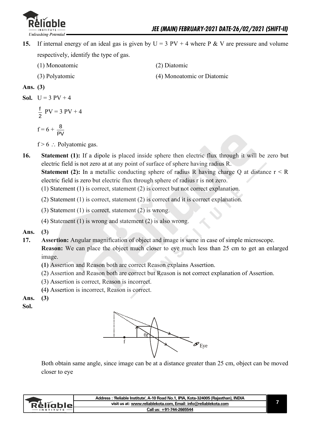

- **15.** If internal energy of an ideal gas is given by  $U = 3 PV + 4$  where P & V are pressure and volume respectively, identify the type of gas.
	- (1) Monoatomic (2) Diatomic
	-
- 
- (3) Polyatomic (4) Monoatomic or Diatomic

#### **Ans. (3)**

**Sol.** 
$$
U = 3 PV + 4
$$

$$
\frac{f}{2} \text{ PV} = 3 \text{ PV} + 4
$$

$$
f = 6 + \frac{8}{24}
$$

$$
\mathsf{PV}
$$

- $f > 6$  : Polyatomic gas.
- **16. Statement (1):** If a dipole is placed inside sphere then electric flux through it will be zero but electric field is not zero at at any point of surface of sphere having radius R.

**Statement (2):** In a metallic conducting sphere of radius R having charge Q at distance  $r < R$ electric field is zero but electric flux through sphere of radius r is not zero.

- (1) Statement (1) is correct, statement (2) is correct but not correct explanation.
- (2) Statement (1) is correct, statement (2) is correct and it is correct explanation.
- (3) Statement (1) is correct, statement (2) is wrong.
- (4) Statement (1) is wrong and statement (2) is also wrong.
- **Ans. (3)**
- **17. Assertion:** Angular magnification of object and image is same in case of simple microscope. **Reason:** We can place the object much closer to eye much less than 25 cm to get an enlarged image.
	- **(1)** Assertion and Reason both are correct Reason explains Assertion.
	- (2) Assertion and Reason both are correct but Reason is not correct explanation of Assertion.
	- (3) Assertion is correct, Reason is incorrect.
	- **(**4**)** Assertion is incorrect, Reason is correct.

#### **Ans. (3)**

**Sol.**



 Both obtain same angle, since image can be at a distance greater than 25 cm, object can be moved closer to eye

|                  | Address: 'Reliable Institute', A-10 Road No.1, IPIA, Kota-324005 (Rajasthan), INDIA |  |
|------------------|-------------------------------------------------------------------------------------|--|
| ReligbleL        | visit us at: www.reliablekota.com. Email: info@reliablekota.com                     |  |
| <b>INSTITUTE</b> | Call us: +91-744-2665544                                                            |  |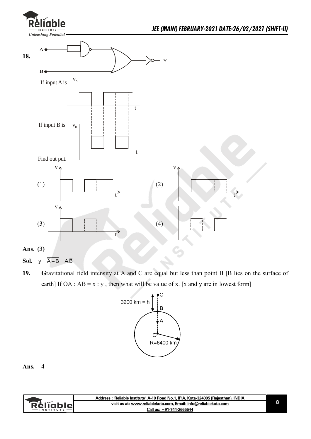

```
Ans. (3)
```
- **Sol.**  $y = \overline{A} + B = A.\overline{B}$
- **19. G**ravitational field intensity at A and C are equal but less than point B [B lies on the surface of earth] If OA :  $AB = x : y$ , then what will be value of x. [x and y are in lowest form]



| visit us at: www.reliablekota.com, Email: info@reliablekota.com<br>`RèlĭableL<br>Call us: +91-744-2665544<br>$-$ INSTITUTE $-$ | Address : 'Reliable Institute', A-10 Road No.1, IPIA, Kota-324005 (Rajasthan), INDIA |  |
|--------------------------------------------------------------------------------------------------------------------------------|--------------------------------------------------------------------------------------|--|
|                                                                                                                                |                                                                                      |  |
|                                                                                                                                |                                                                                      |  |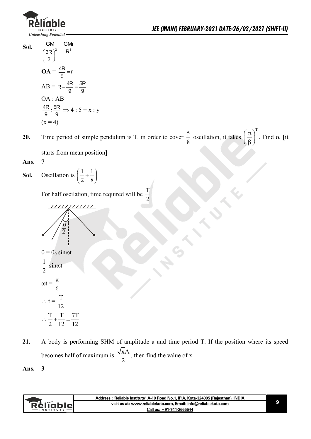

**Sol.** 2 – 2 GM GMr 3R $)^2$  R 2  $=$  $\left(\frac{3R}{2}\right)^2$  $OA = \frac{4R}{9} = r$  $AB = R - \frac{4R}{9} = \frac{5R}{9}$  OA : AB  $\frac{4R}{9}$ :  $\frac{5R}{9} \Rightarrow 4:5 = x: y$  $(x = 4)$ 

**20.** Time period of simple pendulum is T. in order to cover  $\frac{5}{6}$ 8 oscillation, it takes  $(\alpha)^T$  $\left(\frac{\alpha}{\beta}\right)$ . Find  $\alpha$  [it]

starts from mean position]

**Ans. 7** 

**Sol.** Oscillation is  $\left(\frac{1}{2} + \frac{1}{2}\right)$  $\left(\frac{1}{2} + \frac{1}{8}\right)$ 

For half oscilation, time required will be  $\frac{T}{2}$ 2



1 2 sinot  $\omega t =$ 6  $\pi$  $\therefore t = \frac{T}{12}$ 

$$
\frac{12}{\therefore \frac{T}{2} + \frac{T}{12} = \frac{7T}{12}}
$$

**21.** A body is performing SHM of amplitude a and time period T. If the position where its speed becomes half of maximum is  $\frac{\sqrt{xA}}{2}$ 2 , then find the value of x.

|           | Address : 'Reliable Institute', A-10 Road No.1, IPIA, Kota-324005 (Rajasthan), INDIA |  |
|-----------|--------------------------------------------------------------------------------------|--|
| Réligblel | visit us at: www.reliablekota.com, Email: info@reliablekota.com                      |  |
|           | Call us: +91-744-2665544                                                             |  |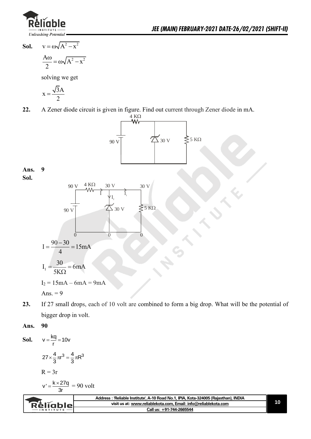

**Sol.**  $v = \omega \sqrt{A^2 - x^2}$ 

$$
\frac{A\omega}{2} = \omega\sqrt{A^2 - x^2}
$$

solving we get

$$
x = \frac{\sqrt{3}A}{2}
$$

**22.** A Zener diode circuit is given in figure. Find out current through Zener diode in mA.



### **Ans. 9**

**Sol.**



**23.** If 27 small drops, each of 10 volt are combined to form a big drop. What will be the potential of bigger drop in volt.

#### **Ans. 90**

**Sol.**   $v = \frac{kq}{r} = 10v$ 

$$
27 \times \frac{4}{3} \pi r^3 = \frac{4}{3} \pi R^3
$$

$$
R = 3r
$$

$$
v' = \frac{k \times 27q}{3r} = 90 \text{ volt}
$$

|                  | Address : 'Reliable Institute', A-10 Road No.1, IPIA, Kota-324005 (Rajasthan), INDIA |  |
|------------------|--------------------------------------------------------------------------------------|--|
| RèliableL        | visit us at: www.reliablekota.com, Email: info@reliablekota.com                      |  |
| <b>INSTITUTE</b> | Call us: +91-744-2665544                                                             |  |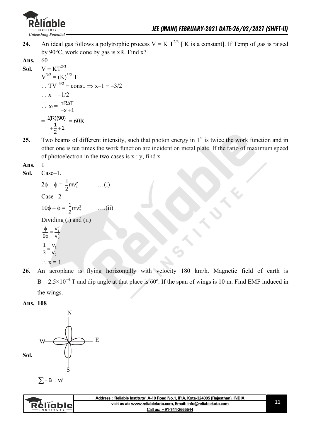

- **24.** An ideal gas follows a polytrophic process  $V = K T^{2/3}$  [K is a constant]. If Temp of gas is raised by 90°C, work done by gas is xR. Find x?
- **Ans.** 60

**Sol.** 
$$
V = KT^{2/3}
$$
  
\n $V^{3/2} = (K)^{3/2} T$   
\n $\therefore TV^{-3/2} = const. \Rightarrow x-1 = -3/2$   
\n $\therefore x = -1/2$   
\n $\therefore \omega = \frac{nR\Delta T}{-x+1}$   
\n $= \frac{1(R)(90)}{+2} = 60R$ 

25. Two beams of different intensity, such that photon energy in 1<sup>st</sup> is twice the work function and in other one is ten times the work function are incident on metal plate. If the ratio of maximum speed of photoelectron in the two cases is  $x : y$ , find x.

**Ans.** 1

**Sol.** Case–1.

```
2\phi - \phi = \frac{1}{2}mv_1^2\frac{1}{2}mv_1^2 ...(i)
            Case –2
10\phi - \phi = \frac{1}{2}mv_2^2\frac{1}{2}mv
                                                  ….(ii)
           Dividing (i) and (ii)
                       \frac{2}{2}v
             9φ v
              \frac{\phi}{\partial \phi} =1
                     2
             1 v
             3 v
                =\therefore x = 1
```
**26.** An aeroplane is flying horizontally with velocity 180 km/h. Magnetic field of earth is  $B = 2.5 \times 10^{-4}$  T and dip angle at that place is 60°. If the span of wings is 10 m. Find EMF induced in the wings.





|               | Address: 'Reliable Institute', A-10 Road No.1, IPIA, Kota-324005 (Rajasthan), INDIA |  |
|---------------|-------------------------------------------------------------------------------------|--|
| `RèlĭableL    | visit us at: www.reliablekota.com, Email: info@reliablekota.com                     |  |
| $-$ INSTITUTE | Call us: +91-744-2665544                                                            |  |
|               |                                                                                     |  |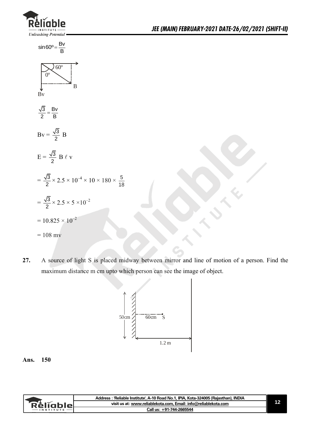



**27.** A source of light S is placed midway between mirror and line of motion of a person. Find the maximum distance m cm upto which person can see the image of object.

18



|                   | Address: 'Reliable Institute', A-10 Road No.1, IPIA, Kota-324005 (Rajasthan), INDIA |  |
|-------------------|-------------------------------------------------------------------------------------|--|
| <b>Réliable</b> L | visit us at: www.reliablekota.com, Email: info@reliablekota.com                     |  |
| <b>INSTITUTE</b>  | Call us: +91-744-2665544                                                            |  |